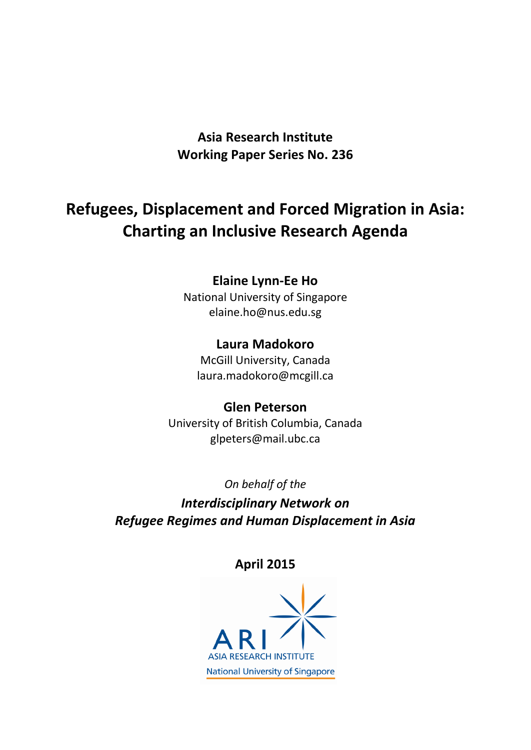**Asia Research Institute Working Paper Series No. 236**

# **Refugees, Displacement and Forced Migration in Asia: Charting an Inclusive Research Agenda**

## **Elaine Lynn-Ee Ho**

National University of Singapore elaine.ho@nus.edu.sg

### **Laura Madokoro**

McGill University, Canada laura.madokoro@mcgill.ca

### **Glen Peterson**

University of British Columbia, Canada glpeters@mail.ubc.ca

*On behalf of the* 

*Interdisciplinary Network on Refugee Regimes and Human Displacement in Asia*

## **April 2015**

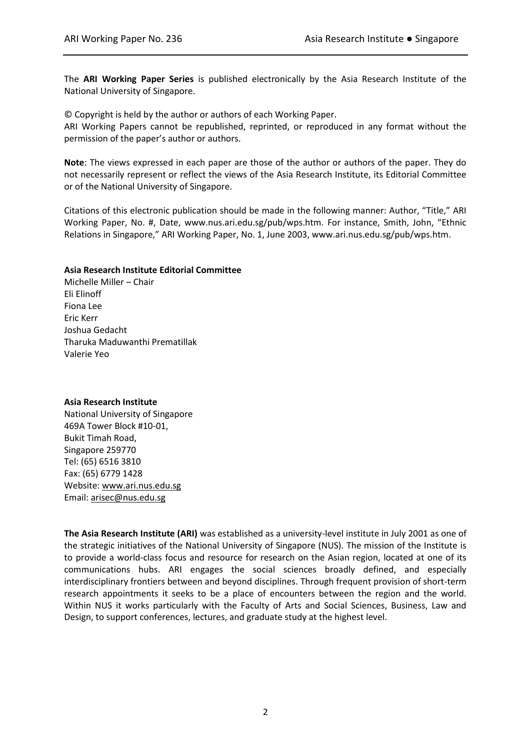The **ARI Working Paper Series** is published electronically by the Asia Research Institute of the National University of Singapore.

© Copyright is held by the author or authors of each Working Paper.

ARI Working Papers cannot be republished, reprinted, or reproduced in any format without the permission of the paper's author or authors.

**Note**: The views expressed in each paper are those of the author or authors of the paper. They do not necessarily represent or reflect the views of the Asia Research Institute, its Editorial Committee or of the National University of Singapore.

Citations of this electronic publication should be made in the following manner: Author, "Title," ARI Working Paper, No. #, Date, www.nus.ari.edu.sg/pub/wps.htm. For instance, Smith, John, "Ethnic Relations in Singapore," ARI Working Paper, No. 1, June 2003, www.ari.nus.edu.sg/pub/wps.htm.

#### **Asia Research Institute Editorial Committee**

Michelle Miller – Chair Eli Elinoff Fiona Lee Eric Kerr Joshua Gedacht Tharuka Maduwanthi Prematillak Valerie Yeo

#### **Asia Research Institute**

National University of Singapore 469A Tower Block #10-01, Bukit Timah Road, Singapore 259770 Tel: (65) 6516 3810 Fax: (65) 6779 1428 Website[: www.ari.nus.edu.sg](http://www.ari.nus.edu.sg/) Email: [arisec@nus.edu.sg](mailto:arisec@nus.edu.sg)

**The Asia Research Institute (ARI)** was established as a university-level institute in July 2001 as one of the strategic initiatives of the National University of Singapore (NUS). The mission of the Institute is to provide a world-class focus and resource for research on the Asian region, located at one of its communications hubs. ARI engages the social sciences broadly defined, and especially interdisciplinary frontiers between and beyond disciplines. Through frequent provision of short-term research appointments it seeks to be a place of encounters between the region and the world. Within NUS it works particularly with the Faculty of Arts and Social Sciences, Business, Law and Design, to support conferences, lectures, and graduate study at the highest level.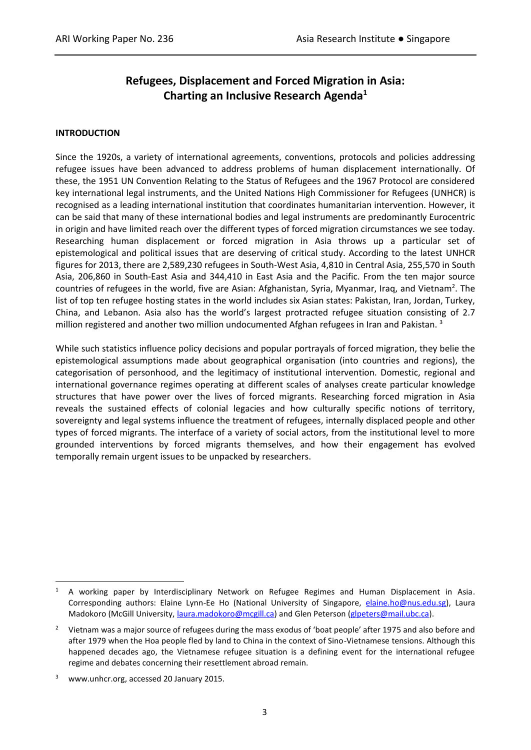### **Refugees, Displacement and Forced Migration in Asia: Charting an Inclusive Research Agenda<sup>1</sup>**

### **INTRODUCTION**

Since the 1920s, a variety of international agreements, conventions, protocols and policies addressing refugee issues have been advanced to address problems of human displacement internationally. Of these, the 1951 UN Convention Relating to the Status of Refugees and the 1967 Protocol are considered key international legal instruments, and the United Nations High Commissioner for Refugees (UNHCR) is recognised as a leading international institution that coordinates humanitarian intervention. However, it can be said that many of these international bodies and legal instruments are predominantly Eurocentric in origin and have limited reach over the different types of forced migration circumstances we see today. Researching human displacement or forced migration in Asia throws up a particular set of epistemological and political issues that are deserving of critical study. According to the latest UNHCR figures for 2013, there are 2,589,230 refugees in South-West Asia, 4,810 in Central Asia, 255,570 in South Asia, 206,860 in South-East Asia and 344,410 in East Asia and the Pacific. From the ten major source countries of refugees in the world, five are Asian: Afghanistan, Syria, Myanmar, Iraq, and Vietnam<sup>2</sup>. The list of top ten refugee hosting states in the world includes six Asian states: Pakistan, Iran, Jordan, Turkey, China, and Lebanon. Asia also has the world's largest protracted refugee situation consisting of 2.7 million registered and another two million undocumented Afghan refugees in Iran and Pakistan.<sup>3</sup>

While such statistics influence policy decisions and popular portrayals of forced migration, they belie the epistemological assumptions made about geographical organisation (into countries and regions), the categorisation of personhood, and the legitimacy of institutional intervention. Domestic, regional and international governance regimes operating at different scales of analyses create particular knowledge structures that have power over the lives of forced migrants. Researching forced migration in Asia reveals the sustained effects of colonial legacies and how culturally specific notions of territory, sovereignty and legal systems influence the treatment of refugees, internally displaced people and other types of forced migrants. The interface of a variety of social actors, from the institutional level to more grounded interventions by forced migrants themselves, and how their engagement has evolved temporally remain urgent issues to be unpacked by researchers.

<sup>1</sup> A working paper by Interdisciplinary Network on Refugee Regimes and Human Displacement in Asia. Corresponding authors: Elaine Lynn-Ee Ho (National University of Singapore, [elaine.ho@nus.edu.sg\)](mailto:elaine.ho@nus.edu.sg), Laura Madokoro (McGill University[, laura.madokoro@mcgill.ca\)](mailto:laura.madokoro@mcgill.ca) and Glen Peterson [\(glpeters@mail.ubc.ca\)](mailto:glpeters@mail.ubc.ca).

<sup>&</sup>lt;sup>2</sup> Vietnam was a major source of refugees during the mass exodus of 'boat people' after 1975 and also before and after 1979 when the Hoa people fled by land to China in the context of Sino-Vietnamese tensions. Although this happened decades ago, the Vietnamese refugee situation is a defining event for the international refugee regime and debates concerning their resettlement abroad remain.

www.unhcr.org, accessed 20 January 2015.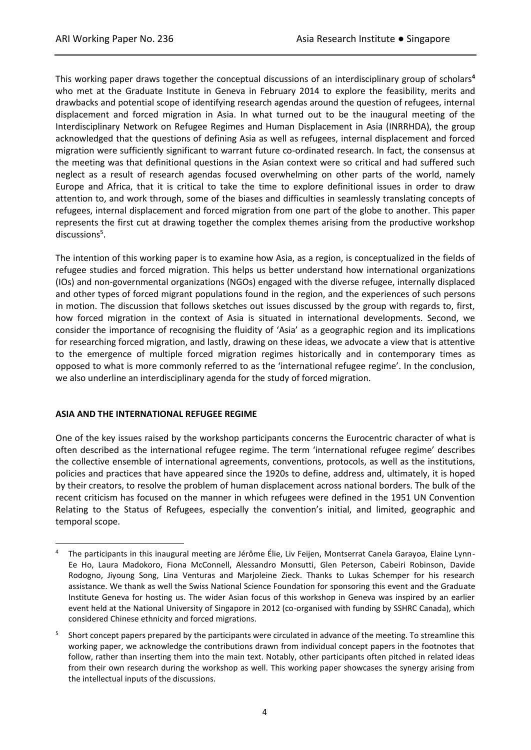This working paper draws together the conceptual discussions of an interdisciplinary group of scholars**<sup>4</sup>** who met at the Graduate Institute in Geneva in February 2014 to explore the feasibility, merits and drawbacks and potential scope of identifying research agendas around the question of refugees, internal displacement and forced migration in Asia. In what turned out to be the inaugural meeting of the Interdisciplinary Network on Refugee Regimes and Human Displacement in Asia (INRRHDA), the group acknowledged that the questions of defining Asia as well as refugees, internal displacement and forced migration were sufficiently significant to warrant future co-ordinated research. In fact, the consensus at the meeting was that definitional questions in the Asian context were so critical and had suffered such neglect as a result of research agendas focused overwhelming on other parts of the world, namely Europe and Africa, that it is critical to take the time to explore definitional issues in order to draw attention to, and work through, some of the biases and difficulties in seamlessly translating concepts of refugees, internal displacement and forced migration from one part of the globe to another. This paper represents the first cut at drawing together the complex themes arising from the productive workshop discussions<sup>5</sup>.

The intention of this working paper is to examine how Asia, as a region, is conceptualized in the fields of refugee studies and forced migration. This helps us better understand how international organizations (IOs) and non-governmental organizations (NGOs) engaged with the diverse refugee, internally displaced and other types of forced migrant populations found in the region, and the experiences of such persons in motion. The discussion that follows sketches out issues discussed by the group with regards to, first, how forced migration in the context of Asia is situated in international developments. Second, we consider the importance of recognising the fluidity of 'Asia' as a geographic region and its implications for researching forced migration, and lastly, drawing on these ideas, we advocate a view that is attentive to the emergence of multiple forced migration regimes historically and in contemporary times as opposed to what is more commonly referred to as the 'international refugee regime'. In the conclusion, we also underline an interdisciplinary agenda for the study of forced migration.

### **ASIA AND THE INTERNATIONAL REFUGEE REGIME**

 $\overline{a}$ 

One of the key issues raised by the workshop participants concerns the Eurocentric character of what is often described as the international refugee regime. The term 'international refugee regime' describes the collective ensemble of international agreements, conventions, protocols, as well as the institutions, policies and practices that have appeared since the 1920s to define, address and, ultimately, it is hoped by their creators, to resolve the problem of human displacement across national borders. The bulk of the recent criticism has focused on the manner in which refugees were defined in the 1951 UN Convention Relating to the Status of Refugees, especially the convention's initial, and limited, geographic and temporal scope.

<sup>4</sup> The participants in this inaugural meeting are Jérôme Élie, Liv Feijen, Montserrat Canela Garayoa, Elaine Lynn-Ee Ho, Laura Madokoro, Fiona McConnell, Alessandro Monsutti, Glen Peterson, Cabeiri Robinson, Davide Rodogno, Jiyoung Song, Lina Venturas and Marjoleine Zieck. Thanks to Lukas Schemper for his research assistance. We thank as well the Swiss National Science Foundation for sponsoring this event and the Graduate Institute Geneva for hosting us. The wider Asian focus of this workshop in Geneva was inspired by an earlier event held at the National University of Singapore in 2012 (co-organised with funding by SSHRC Canada), which considered Chinese ethnicity and forced migrations.

<sup>5</sup> Short concept papers prepared by the participants were circulated in advance of the meeting. To streamline this working paper, we acknowledge the contributions drawn from individual concept papers in the footnotes that follow, rather than inserting them into the main text. Notably, other participants often pitched in related ideas from their own research during the workshop as well. This working paper showcases the synergy arising from the intellectual inputs of the discussions.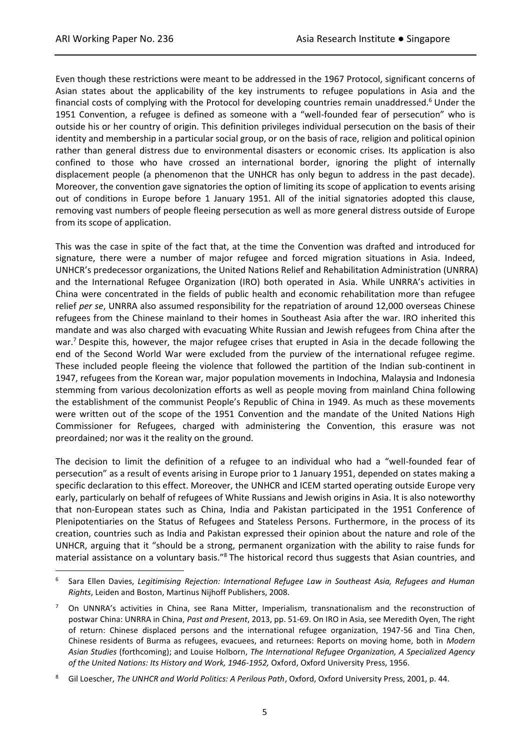Even though these restrictions were meant to be addressed in the 1967 Protocol, significant concerns of Asian states about the applicability of the key instruments to refugee populations in Asia and the financial costs of complying with the Protocol for developing countries remain unaddressed.<sup>6</sup> Under the 1951 Convention, a refugee is defined as someone with a "well-founded fear of persecution" who is outside his or her country of origin. This definition privileges individual persecution on the basis of their identity and membership in a particular social group, or on the basis of race, religion and political opinion rather than general distress due to environmental disasters or economic crises. Its application is also confined to those who have crossed an international border, ignoring the plight of internally displacement people (a phenomenon that the UNHCR has only begun to address in the past decade). Moreover, the convention gave signatories the option of limiting its scope of application to events arising out of conditions in Europe before 1 January 1951. All of the initial signatories adopted this clause, removing vast numbers of people fleeing persecution as well as more general distress outside of Europe from its scope of application.

This was the case in spite of the fact that, at the time the Convention was drafted and introduced for signature, there were a number of major refugee and forced migration situations in Asia. Indeed, UNHCR's predecessor organizations, the United Nations Relief and Rehabilitation Administration (UNRRA) and the International Refugee Organization (IRO) both operated in Asia. While UNRRA's activities in China were concentrated in the fields of public health and economic rehabilitation more than refugee relief *per se*, UNRRA also assumed responsibility for the repatriation of around 12,000 overseas Chinese refugees from the Chinese mainland to their homes in Southeast Asia after the war. IRO inherited this mandate and was also charged with evacuating White Russian and Jewish refugees from China after the war.<sup>7</sup> Despite this, however, the major refugee crises that erupted in Asia in the decade following the end of the Second World War were excluded from the purview of the international refugee regime. These included people fleeing the violence that followed the partition of the Indian sub-continent in 1947, refugees from the Korean war, major population movements in Indochina, Malaysia and Indonesia stemming from various decolonization efforts as well as people moving from mainland China following the establishment of the communist People's Republic of China in 1949. As much as these movements were written out of the scope of the 1951 Convention and the mandate of the United Nations High Commissioner for Refugees, charged with administering the Convention, this erasure was not preordained; nor was it the reality on the ground.

The decision to limit the definition of a refugee to an individual who had a "well-founded fear of persecution" as a result of events arising in Europe prior to 1 January 1951, depended on states making a specific declaration to this effect. Moreover, the UNHCR and ICEM started operating outside Europe very early, particularly on behalf of refugees of White Russians and Jewish origins in Asia. It is also noteworthy that non-European states such as China, India and Pakistan participated in the 1951 Conference of Plenipotentiaries on the Status of Refugees and Stateless Persons. Furthermore, in the process of its creation, countries such as India and Pakistan expressed their opinion about the nature and role of the UNHCR, arguing that it "should be a strong, permanent organization with the ability to raise funds for material assistance on a voluntary basis."<sup>8</sup> The historical record thus suggests that Asian countries, and

<sup>6</sup> Sara Ellen Davies, *Legitimising Rejection: International Refugee Law in Southeast Asia, Refugees and Human Rights*, Leiden and Boston, Martinus Nijhoff Publishers, 2008.

<sup>&</sup>lt;sup>7</sup> On UNNRA's activities in China, see Rana Mitter, Imperialism, transnationalism and the reconstruction of postwar China: UNRRA in China, *Past and Present*, 2013, pp. 51-69. On IRO in Asia, see Meredith Oyen, The right of return: Chinese displaced persons and the international refugee organization, 1947-56 and Tina Chen, Chinese residents of Burma as refugees, evacuees, and returnees: Reports on moving home, both in *Modern Asian Studies* (forthcoming); and Louise Holborn, *The International Refugee Organization, A Specialized Agency of the United Nations: Its History and Work, 1946-1952,* Oxford, Oxford University Press, 1956.

<sup>8</sup> Gil Loescher, *The UNHCR and World Politics: A Perilous Path*, Oxford, Oxford University Press, 2001, p. 44.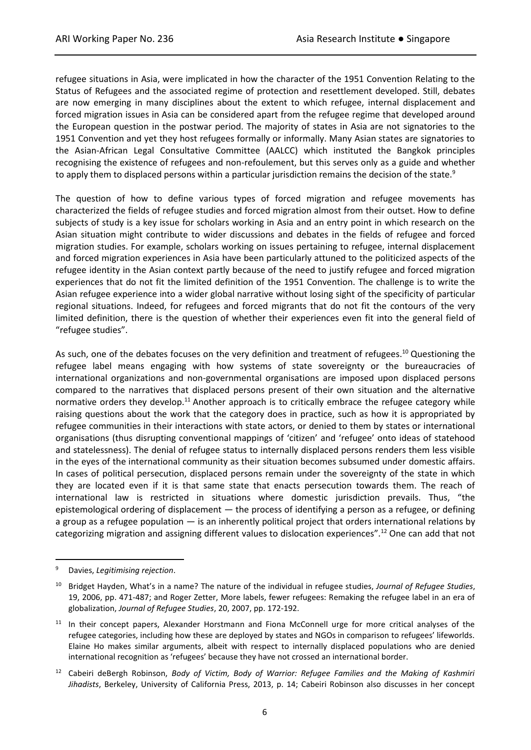refugee situations in Asia, were implicated in how the character of the 1951 Convention Relating to the Status of Refugees and the associated regime of protection and resettlement developed. Still, debates are now emerging in many disciplines about the extent to which refugee, internal displacement and forced migration issues in Asia can be considered apart from the refugee regime that developed around the European question in the postwar period. The majority of states in Asia are not signatories to the 1951 Convention and yet they host refugees formally or informally. Many Asian states are signatories to the Asian-African Legal Consultative Committee (AALCC) which instituted the Bangkok principles recognising the existence of refugees and non-refoulement, but this serves only as a guide and whether to apply them to displaced persons within a particular jurisdiction remains the decision of the state.<sup>9</sup>

The question of how to define various types of forced migration and refugee movements has characterized the fields of refugee studies and forced migration almost from their outset. How to define subjects of study is a key issue for scholars working in Asia and an entry point in which research on the Asian situation might contribute to wider discussions and debates in the fields of refugee and forced migration studies. For example, scholars working on issues pertaining to refugee, internal displacement and forced migration experiences in Asia have been particularly attuned to the politicized aspects of the refugee identity in the Asian context partly because of the need to justify refugee and forced migration experiences that do not fit the limited definition of the 1951 Convention. The challenge is to write the Asian refugee experience into a wider global narrative without losing sight of the specificity of particular regional situations. Indeed, for refugees and forced migrants that do not fit the contours of the very limited definition, there is the question of whether their experiences even fit into the general field of "refugee studies".

As such, one of the debates focuses on the very definition and treatment of refugees.<sup>10</sup> Questioning the refugee label means engaging with how systems of state sovereignty or the bureaucracies of international organizations and non-governmental organisations are imposed upon displaced persons compared to the narratives that displaced persons present of their own situation and the alternative normative orders they develop.<sup>11</sup> Another approach is to critically embrace the refugee category while raising questions about the work that the category does in practice, such as how it is appropriated by refugee communities in their interactions with state actors, or denied to them by states or international organisations (thus disrupting conventional mappings of 'citizen' and 'refugee' onto ideas of statehood and statelessness). The denial of refugee status to internally displaced persons renders them less visible in the eyes of the international community as their situation becomes subsumed under domestic affairs. In cases of political persecution, displaced persons remain under the sovereignty of the state in which they are located even if it is that same state that enacts persecution towards them. The reach of international law is restricted in situations where domestic jurisdiction prevails. Thus, "the epistemological ordering of displacement — the process of identifying a person as a refugee, or defining a group as a refugee population — is an inherently political project that orders international relations by categorizing migration and assigning different values to dislocation experiences".<sup>12</sup> One can add that not

<sup>9</sup> Davies, *Legitimising rejection*.

<sup>10</sup> Bridget Hayden, What's in a name? The nature of the individual in refugee studies, *Journal of Refugee Studies*, 19, 2006, pp. 471-487; and Roger Zetter, More labels, fewer refugees: Remaking the refugee label in an era of globalization, *Journal of Refugee Studies*, 20, 2007, pp. 172-192.

<sup>&</sup>lt;sup>11</sup> In their concept papers, Alexander Horstmann and Fiona McConnell urge for more critical analyses of the refugee categories, including how these are deployed by states and NGOs in comparison to refugees' lifeworlds. Elaine Ho makes similar arguments, albeit with respect to internally displaced populations who are denied international recognition as 'refugees' because they have not crossed an international border.

<sup>12</sup> Cabeiri deBergh Robinson, *Body of Victim, Body of Warrior: Refugee Families and the Making of Kashmiri Jihadists*, Berkeley, University of California Press, 2013, p. 14; Cabeiri Robinson also discusses in her concept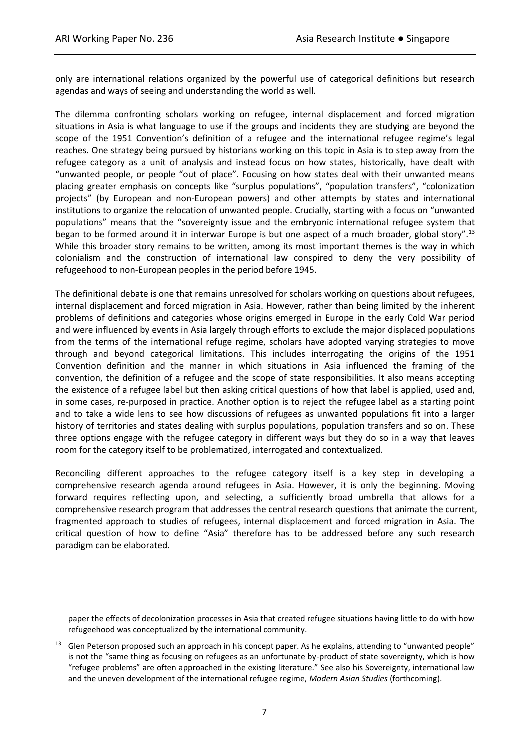only are international relations organized by the powerful use of categorical definitions but research agendas and ways of seeing and understanding the world as well.

The dilemma confronting scholars working on refugee, internal displacement and forced migration situations in Asia is what language to use if the groups and incidents they are studying are beyond the scope of the 1951 Convention's definition of a refugee and the international refugee regime's legal reaches. One strategy being pursued by historians working on this topic in Asia is to step away from the refugee category as a unit of analysis and instead focus on how states, historically, have dealt with "unwanted people, or people "out of place". Focusing on how states deal with their unwanted means placing greater emphasis on concepts like "surplus populations", "population transfers", "colonization projects" (by European and non-European powers) and other attempts by states and international institutions to organize the relocation of unwanted people. Crucially, starting with a focus on "unwanted populations" means that the "sovereignty issue and the embryonic international refugee system that began to be formed around it in interwar Europe is but one aspect of a much broader, global story".<sup>13</sup> While this broader story remains to be written, among its most important themes is the way in which colonialism and the construction of international law conspired to deny the very possibility of refugeehood to non-European peoples in the period before 1945.

The definitional debate is one that remains unresolved for scholars working on questions about refugees, internal displacement and forced migration in Asia. However, rather than being limited by the inherent problems of definitions and categories whose origins emerged in Europe in the early Cold War period and were influenced by events in Asia largely through efforts to exclude the major displaced populations from the terms of the international refuge regime, scholars have adopted varying strategies to move through and beyond categorical limitations. This includes interrogating the origins of the 1951 Convention definition and the manner in which situations in Asia influenced the framing of the convention, the definition of a refugee and the scope of state responsibilities. It also means accepting the existence of a refugee label but then asking critical questions of how that label is applied, used and, in some cases, re-purposed in practice. Another option is to reject the refugee label as a starting point and to take a wide lens to see how discussions of refugees as unwanted populations fit into a larger history of territories and states dealing with surplus populations, population transfers and so on. These three options engage with the refugee category in different ways but they do so in a way that leaves room for the category itself to be problematized, interrogated and contextualized.

Reconciling different approaches to the refugee category itself is a key step in developing a comprehensive research agenda around refugees in Asia. However, it is only the beginning. Moving forward requires reflecting upon, and selecting, a sufficiently broad umbrella that allows for a comprehensive research program that addresses the central research questions that animate the current, fragmented approach to studies of refugees, internal displacement and forced migration in Asia. The critical question of how to define "Asia" therefore has to be addressed before any such research paradigm can be elaborated.

paper the effects of decolonization processes in Asia that created refugee situations having little to do with how refugeehood was conceptualized by the international community.

Glen Peterson proposed such an approach in his concept paper. As he explains, attending to "unwanted people" is not the "same thing as focusing on refugees as an unfortunate by-product of state sovereignty, which is how "refugee problems" are often approached in the existing literature." See also his Sovereignty, international law and the uneven development of the international refugee regime, *Modern Asian Studies* (forthcoming).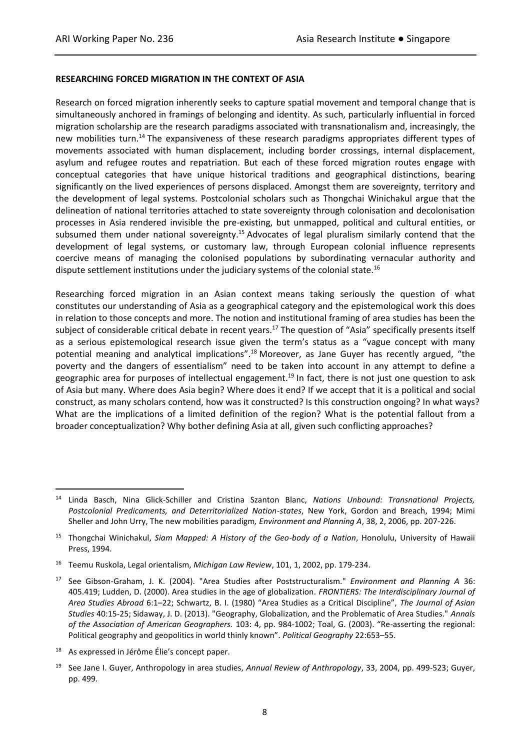### **RESEARCHING FORCED MIGRATION IN THE CONTEXT OF ASIA**

Research on forced migration inherently seeks to capture spatial movement and temporal change that is simultaneously anchored in framings of belonging and identity. As such, particularly influential in forced migration scholarship are the research paradigms associated with transnationalism and, increasingly, the new mobilities turn.<sup>14</sup> The expansiveness of these research paradigms appropriates different types of movements associated with human displacement, including border crossings, internal displacement, asylum and refugee routes and repatriation. But each of these forced migration routes engage with conceptual categories that have unique historical traditions and geographical distinctions, bearing significantly on the lived experiences of persons displaced. Amongst them are sovereignty, territory and the development of legal systems. Postcolonial scholars such as Thongchai Winichakul argue that the delineation of national territories attached to state sovereignty through colonisation and decolonisation processes in Asia rendered invisible the pre-existing, but unmapped, political and cultural entities, or subsumed them under national sovereignty.<sup>15</sup> Advocates of legal pluralism similarly contend that the development of legal systems, or customary law, through European colonial influence represents coercive means of managing the colonised populations by subordinating vernacular authority and dispute settlement institutions under the judiciary systems of the colonial state.<sup>16</sup>

Researching forced migration in an Asian context means taking seriously the question of what constitutes our understanding of Asia as a geographical category and the epistemological work this does in relation to those concepts and more. The notion and institutional framing of area studies has been the subject of considerable critical debate in recent years.<sup>17</sup> The question of "Asia" specifically presents itself as a serious epistemological research issue given the term's status as a "vague concept with many potential meaning and analytical implications".<sup>18</sup> Moreover, as Jane Guyer has recently argued, "the poverty and the dangers of essentialism" need to be taken into account in any attempt to define a geographic area for purposes of intellectual engagement.<sup>19</sup> In fact, there is not just one question to ask of Asia but many. Where does Asia begin? Where does it end? If we accept that it is a political and social construct, as many scholars contend, how was it constructed? Is this construction ongoing? In what ways? What are the implications of a limited definition of the region? What is the potential fallout from a broader conceptualization? Why bother defining Asia at all, given such conflicting approaches?

<sup>18</sup> As expressed in Jérôme Élie's concept paper.

<sup>14</sup> Linda Basch, Nina Glick-Schiller and Cristina Szanton Blanc, *Nations Unbound: Transnational Projects, Postcolonial Predicaments, and Deterritorialized Nation-states*, New York, Gordon and Breach, 1994; Mimi Sheller and John Urry, The new mobilities paradigm*, Environment and Planning A*, 38, 2, 2006, pp. 207-226.

<sup>15</sup> Thongchai Winichakul, *Siam Mapped: A History of the Geo-body of a Nation*, Honolulu, University of Hawaii Press, 1994.

<sup>16</sup> Teemu Ruskola, Legal orientalism, *Michigan Law Review*, 101, 1, 2002, pp. 179-234.

<sup>17</sup> See Gibson-Graham, J. K. (2004). "Area Studies after Poststructuralism." *Environment and Planning A* 36: 405.419; Ludden, D. (2000). Area studies in the age of globalization. *FRONTIERS: The Interdisciplinary Journal of Area Studies Abroad* 6:1–22; Schwartz, B. I. (1980) "Area Studies as a Critical Discipline", *The Journal of Asian Studies* 40:15-25; Sidaway, J. D. (2013). "Geography, Globalization, and the Problematic of Area Studies." *Annals of the Association of American Geographers.* 103: 4, pp. 984-1002; Toal, G. (2003). "Re-asserting the regional: Political geography and geopolitics in world thinly known". *Political Geography* 22:653–55.

<sup>19</sup> See Jane I. Guyer, Anthropology in area studies, *Annual Review of Anthropology*, 33, 2004, pp. 499-523; Guyer, pp. 499.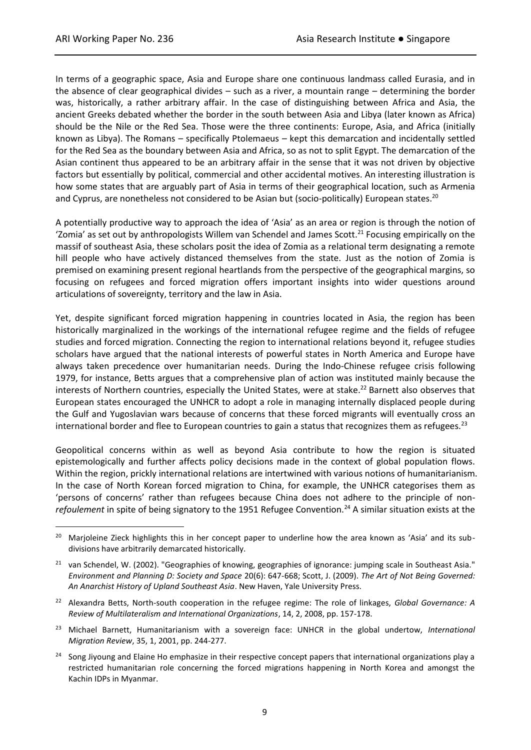In terms of a geographic space, Asia and Europe share one continuous landmass called Eurasia, and in the absence of clear geographical divides – such as a river, a mountain range – determining the border was, historically, a rather arbitrary affair. In the case of distinguishing between Africa and Asia, the ancient Greeks debated whether the border in the south between Asia and Libya (later known as Africa) should be the Nile or the Red Sea. Those were the three continents: Europe, Asia, and Africa (initially known as Libya). The Romans – specifically Ptolemaeus – kept this demarcation and incidentally settled for the Red Sea as the boundary between Asia and Africa, so as not to split Egypt. The demarcation of the Asian continent thus appeared to be an arbitrary affair in the sense that it was not driven by objective factors but essentially by political, commercial and other accidental motives. An interesting illustration is how some states that are arguably part of Asia in terms of their geographical location, such as Armenia and Cyprus, are nonetheless not considered to be Asian but (socio-politically) European states.<sup>20</sup>

A potentially productive way to approach the idea of 'Asia' as an area or region is through the notion of 'Zomia' as set out by anthropologists Willem van Schendel and James Scott.<sup>21</sup> Focusing empirically on the massif of southeast Asia, these scholars posit the idea of Zomia as a relational term designating a remote hill people who have actively distanced themselves from the state. Just as the notion of Zomia is premised on examining present regional heartlands from the perspective of the geographical margins, so focusing on refugees and forced migration offers important insights into wider questions around articulations of sovereignty, territory and the law in Asia.

Yet, despite significant forced migration happening in countries located in Asia, the region has been historically marginalized in the workings of the international refugee regime and the fields of refugee studies and forced migration. Connecting the region to international relations beyond it, refugee studies scholars have argued that the national interests of powerful states in North America and Europe have always taken precedence over humanitarian needs. During the Indo-Chinese refugee crisis following 1979, for instance, Betts argues that a comprehensive plan of action was instituted mainly because the interests of Northern countries, especially the United States, were at stake.<sup>22</sup> Barnett also observes that European states encouraged the UNHCR to adopt a role in managing internally displaced people during the Gulf and Yugoslavian wars because of concerns that these forced migrants will eventually cross an international border and flee to European countries to gain a status that recognizes them as refugees.<sup>23</sup>

Geopolitical concerns within as well as beyond Asia contribute to how the region is situated epistemologically and further affects policy decisions made in the context of global population flows. Within the region, prickly international relations are intertwined with various notions of humanitarianism. In the case of North Korean forced migration to China, for example, the UNHCR categorises them as 'persons of concerns' rather than refugees because China does not adhere to the principle of non*refoulement* in spite of being signatory to the 1951 Refugee Convention.<sup>24</sup> A similar situation exists at the

- <sup>23</sup> Michael Barnett, Humanitarianism with a sovereign face: UNHCR in the global undertow, *International Migration Review*, 35, 1, 2001, pp. 244-277.
- <sup>24</sup> Song Jiyoung and Elaine Ho emphasize in their respective concept papers that international organizations play a restricted humanitarian role concerning the forced migrations happening in North Korea and amongst the Kachin IDPs in Myanmar.

<sup>&</sup>lt;sup>20</sup> Marjoleine Zieck highlights this in her concept paper to underline how the area known as 'Asia' and its subdivisions have arbitrarily demarcated historically.

<sup>&</sup>lt;sup>21</sup> van Schendel, W. (2002). "Geographies of knowing, geographies of ignorance: jumping scale in Southeast Asia." *Environment and Planning D: Society and Space* 20(6): 647-668; Scott, J. (2009). *The Art of Not Being Governed: An Anarchist History of Upland Southeast Asia*. New Haven, Yale University Press.

<sup>22</sup> Alexandra Betts, North-south cooperation in the refugee regime: The role of linkages, *Global Governance: A Review of Multilateralism and International Organizations*, 14, 2, 2008, pp. 157-178.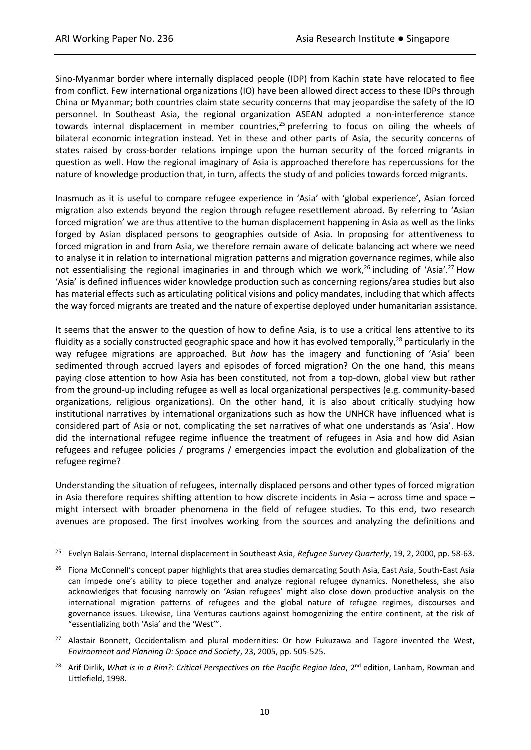Sino-Myanmar border where internally displaced people (IDP) from Kachin state have relocated to flee from conflict. Few international organizations (IO) have been allowed direct access to these IDPs through China or Myanmar; both countries claim state security concerns that may jeopardise the safety of the IO personnel. In Southeast Asia, the regional organization ASEAN adopted a non-interference stance towards internal displacement in member countries, $25$  preferring to focus on oiling the wheels of bilateral economic integration instead. Yet in these and other parts of Asia, the security concerns of states raised by cross-border relations impinge upon the human security of the forced migrants in question as well. How the regional imaginary of Asia is approached therefore has repercussions for the nature of knowledge production that, in turn, affects the study of and policies towards forced migrants.

Inasmuch as it is useful to compare refugee experience in 'Asia' with 'global experience', Asian forced migration also extends beyond the region through refugee resettlement abroad. By referring to 'Asian forced migration' we are thus attentive to the human displacement happening in Asia as well as the links forged by Asian displaced persons to geographies outside of Asia. In proposing for attentiveness to forced migration in and from Asia, we therefore remain aware of delicate balancing act where we need to analyse it in relation to international migration patterns and migration governance regimes, while also not essentialising the regional imaginaries in and through which we work,<sup>26</sup> including of 'Asia'.<sup>27</sup> How 'Asia' is defined influences wider knowledge production such as concerning regions/area studies but also has material effects such as articulating political visions and policy mandates, including that which affects the way forced migrants are treated and the nature of expertise deployed under humanitarian assistance.

It seems that the answer to the question of how to define Asia, is to use a critical lens attentive to its fluidity as a socially constructed geographic space and how it has evolved temporally, $^{28}$  particularly in the way refugee migrations are approached. But *how* has the imagery and functioning of 'Asia' been sedimented through accrued layers and episodes of forced migration? On the one hand, this means paying close attention to how Asia has been constituted, not from a top-down, global view but rather from the ground-up including refugee as well as local organizational perspectives (e.g. community-based organizations, religious organizations). On the other hand, it is also about critically studying how institutional narratives by international organizations such as how the UNHCR have influenced what is considered part of Asia or not, complicating the set narratives of what one understands as 'Asia'. How did the international refugee regime influence the treatment of refugees in Asia and how did Asian refugees and refugee policies / programs / emergencies impact the evolution and globalization of the refugee regime?

Understanding the situation of refugees, internally displaced persons and other types of forced migration in Asia therefore requires shifting attention to how discrete incidents in Asia – across time and space – might intersect with broader phenomena in the field of refugee studies. To this end, two research avenues are proposed. The first involves working from the sources and analyzing the definitions and

<sup>25</sup> Evelyn Balais-Serrano, Internal displacement in Southeast Asia, *Refugee Survey Quarterly*, 19, 2, 2000, pp. 58-63.

<sup>&</sup>lt;sup>26</sup> Fiona McConnell's concept paper highlights that area studies demarcating South Asia, East Asia, South-East Asia can impede one's ability to piece together and analyze regional refugee dynamics. Nonetheless, she also acknowledges that focusing narrowly on 'Asian refugees' might also close down productive analysis on the international migration patterns of refugees and the global nature of refugee regimes, discourses and governance issues. Likewise, Lina Venturas cautions against homogenizing the entire continent, at the risk of "essentializing both 'Asia' and the 'West'".

<sup>&</sup>lt;sup>27</sup> Alastair Bonnett, Occidentalism and plural modernities: Or how Fukuzawa and Tagore invented the West, *Environment and Planning D: Space and Society*, 23, 2005, pp. 505-525.

Arif Dirlik, What is in a Rim?: Critical Perspectives on the Pacific Region Idea, 2<sup>nd</sup> edition, Lanham, Rowman and Littlefield, 1998.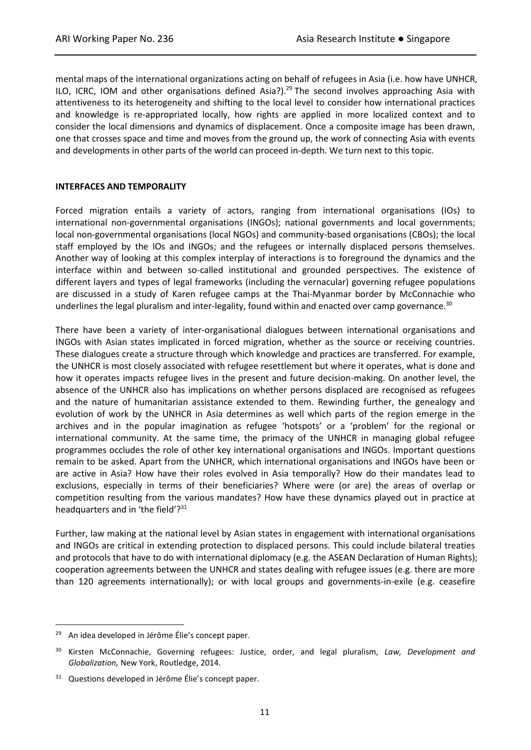mental maps of the international organizations acting on behalf of refugees in Asia (i.e. how have UNHCR, ILO, ICRC, IOM and other organisations defined Asia?).<sup>29</sup> The second involves approaching Asia with attentiveness to its heterogeneity and shifting to the local level to consider how international practices and knowledge is re-appropriated locally, how rights are applied in more localized context and to consider the local dimensions and dynamics of displacement. Once a composite image has been drawn, one that crosses space and time and moves from the ground up, the work of connecting Asia with events and developments in other parts of the world can proceed in-depth. We turn next to this topic.

### **INTERFACES AND TEMPORALITY**

Forced migration entails a variety of actors, ranging from international organisations (IOs) to international non-governmental organisations (INGOs); national governments and local governments; local non-governmental organisations (local NGOs) and community-based organisations (CBOs); the local staff employed by the IOs and INGOs; and the refugees or internally displaced persons themselves. Another way of looking at this complex interplay of interactions is to foreground the dynamics and the interface within and between so-called institutional and grounded perspectives. The existence of different layers and types of legal frameworks (including the vernacular) governing refugee populations are discussed in a study of Karen refugee camps at the Thai-Myanmar border by McConnachie who underlines the legal pluralism and inter-legality, found within and enacted over camp governance.<sup>30</sup>

There have been a variety of inter-organisational dialogues between international organisations and INGOs with Asian states implicated in forced migration, whether as the source or receiving countries. These dialogues create a structure through which knowledge and practices are transferred. For example, the UNHCR is most closely associated with refugee resettlement but where it operates, what is done and how it operates impacts refugee lives in the present and future decision-making. On another level, the absence of the UNHCR also has implications on whether persons displaced are recognised as refugees and the nature of humanitarian assistance extended to them. Rewinding further, the genealogy and evolution of work by the UNHCR in Asia determines as well which parts of the region emerge in the archives and in the popular imagination as refugee 'hotspots' or a 'problem' for the regional or international community. At the same time, the primacy of the UNHCR in managing global refugee programmes occludes the role of other key international organisations and INGOs. Important questions remain to be asked. Apart from the UNHCR, which international organisations and INGOs have been or are active in Asia? How have their roles evolved in Asia temporally? How do their mandates lead to exclusions, especially in terms of their beneficiaries? Where were (or are) the areas of overlap or competition resulting from the various mandates? How have these dynamics played out in practice at headquarters and in 'the field' $?$ <sup>31</sup>

Further, law making at the national level by Asian states in engagement with international organisations and INGOs are critical in extending protection to displaced persons. This could include bilateral treaties and protocols that have to do with international diplomacy (e.g. the ASEAN Declaration of Human Rights); cooperation agreements between the UNHCR and states dealing with refugee issues (e.g. there are more than 120 agreements internationally); or with local groups and governments-in-exile (e.g. ceasefire

An idea developed in Jérôme Élie's concept paper.

<sup>30</sup> Kirsten McConnachie, Governing refugees: Justice, order, and legal pluralism, *Law, Development and Globalization,* New York, Routledge, 2014.

Questions developed in Jérôme Élie's concept paper.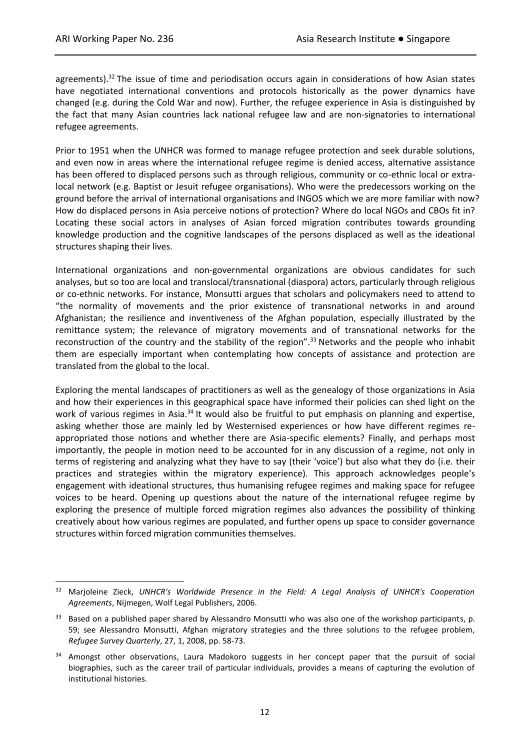agreements). $32$  The issue of time and periodisation occurs again in considerations of how Asian states have negotiated international conventions and protocols historically as the power dynamics have changed (e.g. during the Cold War and now). Further, the refugee experience in Asia is distinguished by the fact that many Asian countries lack national refugee law and are non-signatories to international refugee agreements.

Prior to 1951 when the UNHCR was formed to manage refugee protection and seek durable solutions, and even now in areas where the international refugee regime is denied access, alternative assistance has been offered to displaced persons such as through religious, community or co-ethnic local or extralocal network (e.g. Baptist or Jesuit refugee organisations). Who were the predecessors working on the ground before the arrival of international organisations and INGOS which we are more familiar with now? How do displaced persons in Asia perceive notions of protection? Where do local NGOs and CBOs fit in? Locating these social actors in analyses of Asian forced migration contributes towards grounding knowledge production and the cognitive landscapes of the persons displaced as well as the ideational structures shaping their lives.

International organizations and non-governmental organizations are obvious candidates for such analyses, but so too are local and translocal/transnational (diaspora) actors, particularly through religious or co-ethnic networks. For instance, Monsutti argues that scholars and policymakers need to attend to "the normality of movements and the prior existence of transnational networks in and around Afghanistan; the resilience and inventiveness of the Afghan population, especially illustrated by the remittance system; the relevance of migratory movements and of transnational networks for the reconstruction of the country and the stability of the region".<sup>33</sup> Networks and the people who inhabit them are especially important when contemplating how concepts of assistance and protection are translated from the global to the local.

Exploring the mental landscapes of practitioners as well as the genealogy of those organizations in Asia and how their experiences in this geographical space have informed their policies can shed light on the work of various regimes in Asia.<sup>34</sup> It would also be fruitful to put emphasis on planning and expertise, asking whether those are mainly led by Westernised experiences or how have different regimes reappropriated those notions and whether there are Asia-specific elements? Finally, and perhaps most importantly, the people in motion need to be accounted for in any discussion of a regime, not only in terms of registering and analyzing what they have to say (their 'voice') but also what they do (i.e. their practices and strategies within the migratory experience). This approach acknowledges people's engagement with ideational structures, thus humanising refugee regimes and making space for refugee voices to be heard. Opening up questions about the nature of the international refugee regime by exploring the presence of multiple forced migration regimes also advances the possibility of thinking creatively about how various regimes are populated, and further opens up space to consider governance structures within forced migration communities themselves.

<sup>32</sup> Marjoleine Zieck, *UNHCR's Worldwide Presence in the Field: A Legal Analysis of UNHCR's Cooperation Agreements*, Nijmegen, Wolf Legal Publishers, 2006.

Based on a published paper shared by Alessandro Monsutti who was also one of the workshop participants, p. 59; see Alessandro Monsutti, Afghan migratory strategies and the three solutions to the refugee problem, *Refugee Survey Quarterly*, 27, 1, 2008, pp. 58-73.

Amongst other observations, Laura Madokoro suggests in her concept paper that the pursuit of social biographies, such as the career trail of particular individuals, provides a means of capturing the evolution of institutional histories.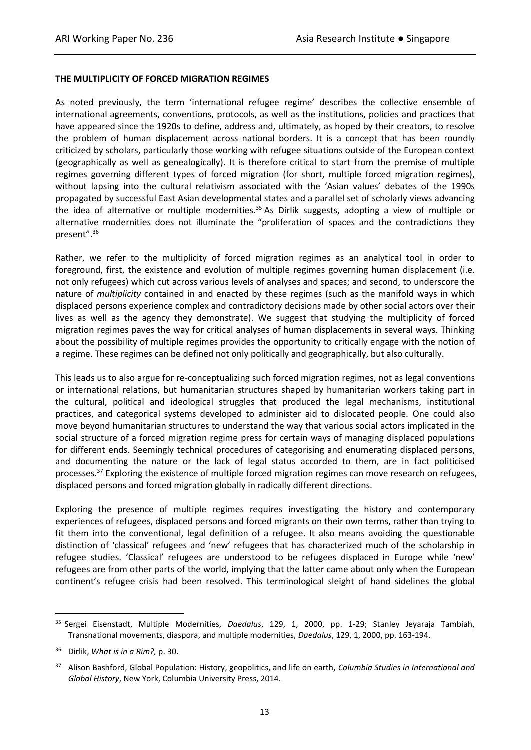#### **THE MULTIPLICITY OF FORCED MIGRATION REGIMES**

As noted previously, the term 'international refugee regime' describes the collective ensemble of international agreements, conventions, protocols, as well as the institutions, policies and practices that have appeared since the 1920s to define, address and, ultimately, as hoped by their creators, to resolve the problem of human displacement across national borders. It is a concept that has been roundly criticized by scholars, particularly those working with refugee situations outside of the European context (geographically as well as genealogically). It is therefore critical to start from the premise of multiple regimes governing different types of forced migration (for short, multiple forced migration regimes), without lapsing into the cultural relativism associated with the 'Asian values' debates of the 1990s propagated by successful East Asian developmental states and a parallel set of scholarly views advancing the idea of alternative or multiple modernities.<sup>35</sup> As Dirlik suggests, adopting a view of multiple or alternative modernities does not illuminate the "proliferation of spaces and the contradictions they present".<sup>36</sup>

Rather, we refer to the multiplicity of forced migration regimes as an analytical tool in order to foreground, first, the existence and evolution of multiple regimes governing human displacement (i.e. not only refugees) which cut across various levels of analyses and spaces; and second, to underscore the nature of *multiplicity* contained in and enacted by these regimes (such as the manifold ways in which displaced persons experience complex and contradictory decisions made by other social actors over their lives as well as the agency they demonstrate). We suggest that studying the multiplicity of forced migration regimes paves the way for critical analyses of human displacements in several ways. Thinking about the possibility of multiple regimes provides the opportunity to critically engage with the notion of a regime. These regimes can be defined not only politically and geographically, but also culturally.

This leads us to also argue for re-conceptualizing such forced migration regimes, not as legal conventions or international relations, but humanitarian structures shaped by humanitarian workers taking part in the cultural, political and ideological struggles that produced the legal mechanisms, institutional practices, and categorical systems developed to administer aid to dislocated people*.* One could also move beyond humanitarian structures to understand the way that various social actors implicated in the social structure of a forced migration regime press for certain ways of managing displaced populations for different ends. Seemingly technical procedures of categorising and enumerating displaced persons, and documenting the nature or the lack of legal status accorded to them, are in fact politicised processes.<sup>37</sup> Exploring the existence of multiple forced migration regimes can move research on refugees, displaced persons and forced migration globally in radically different directions.

Exploring the presence of multiple regimes requires investigating the history and contemporary experiences of refugees, displaced persons and forced migrants on their own terms, rather than trying to fit them into the conventional, legal definition of a refugee. It also means avoiding the questionable distinction of 'classical' refugees and 'new' refugees that has characterized much of the scholarship in refugee studies. 'Classical' refugees are understood to be refugees displaced in Europe while 'new' refugees are from other parts of the world, implying that the latter came about only when the European continent's refugee crisis had been resolved. This terminological sleight of hand sidelines the global

<sup>35</sup> Sergei Eisenstadt, Multiple Modernities, *Daedalus*, 129, 1, 2000, pp. 1-29; Stanley Jeyaraja Tambiah, Transnational movements, diaspora, and multiple modernities, *Daedalus*, 129, 1, 2000, pp. 163-194.

<sup>36</sup> Dirlik, *What is in a Rim?,* p. 30.

<sup>37</sup> Alison Bashford, Global Population: History, geopolitics, and life on earth*, Columbia Studies in International and Global History*, New York, Columbia University Press, 2014.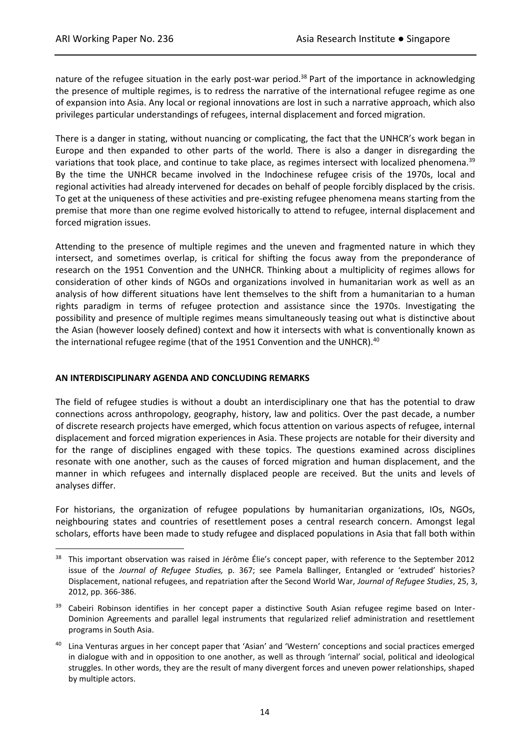nature of the refugee situation in the early post-war period.<sup>38</sup> Part of the importance in acknowledging the presence of multiple regimes, is to redress the narrative of the international refugee regime as one of expansion into Asia. Any local or regional innovations are lost in such a narrative approach, which also privileges particular understandings of refugees, internal displacement and forced migration.

There is a danger in stating, without nuancing or complicating, the fact that the UNHCR's work began in Europe and then expanded to other parts of the world. There is also a danger in disregarding the variations that took place, and continue to take place, as regimes intersect with localized phenomena.<sup>39</sup> By the time the UNHCR became involved in the Indochinese refugee crisis of the 1970s, local and regional activities had already intervened for decades on behalf of people forcibly displaced by the crisis. To get at the uniqueness of these activities and pre-existing refugee phenomena means starting from the premise that more than one regime evolved historically to attend to refugee, internal displacement and forced migration issues.

Attending to the presence of multiple regimes and the uneven and fragmented nature in which they intersect, and sometimes overlap, is critical for shifting the focus away from the preponderance of research on the 1951 Convention and the UNHCR. Thinking about a multiplicity of regimes allows for consideration of other kinds of NGOs and organizations involved in humanitarian work as well as an analysis of how different situations have lent themselves to the shift from a humanitarian to a human rights paradigm in terms of refugee protection and assistance since the 1970s. Investigating the possibility and presence of multiple regimes means simultaneously teasing out what is distinctive about the Asian (however loosely defined) context and how it intersects with what is conventionally known as the international refugee regime (that of the 1951 Convention and the UNHCR).<sup>40</sup>

### **AN INTERDISCIPLINARY AGENDA AND CONCLUDING REMARKS**

The field of refugee studies is without a doubt an interdisciplinary one that has the potential to draw connections across anthropology, geography, history, law and politics. Over the past decade, a number of discrete research projects have emerged, which focus attention on various aspects of refugee, internal displacement and forced migration experiences in Asia. These projects are notable for their diversity and for the range of disciplines engaged with these topics. The questions examined across disciplines resonate with one another, such as the causes of forced migration and human displacement, and the manner in which refugees and internally displaced people are received. But the units and levels of analyses differ.

For historians, the organization of refugee populations by humanitarian organizations, IOs, NGOs, neighbouring states and countries of resettlement poses a central research concern. Amongst legal scholars, efforts have been made to study refugee and displaced populations in Asia that fall both within

- Cabeiri Robinson identifies in her concept paper a distinctive South Asian refugee regime based on Inter-Dominion Agreements and parallel legal instruments that regularized relief administration and resettlement programs in South Asia.
- <sup>40</sup> Lina Venturas argues in her concept paper that 'Asian' and 'Western' conceptions and social practices emerged in dialogue with and in opposition to one another, as well as through 'internal' social, political and ideological struggles. In other words, they are the result of many divergent forces and uneven power relationships, shaped by multiple actors.

<sup>&</sup>lt;sup>38</sup> This important observation was raised in Jérôme Élie's concept paper, with reference to the September 2012 issue of the *Journal of Refugee Studies,* p. 367; see Pamela Ballinger, Entangled or 'extruded' histories? Displacement, national refugees, and repatriation after the Second World War, *Journal of Refugee Studies*, 25, 3, 2012, pp. 366-386.